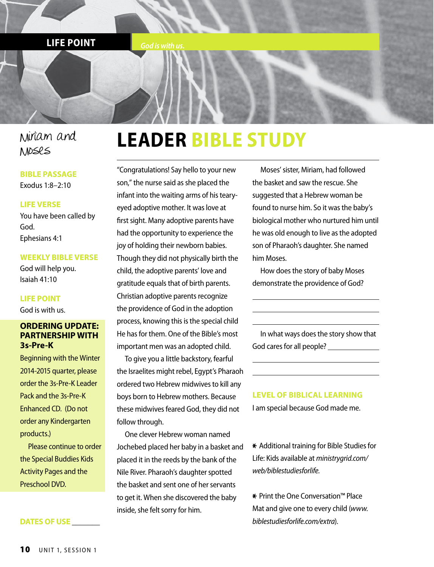**LIFE POINT** *God is with us.* 

### Miriam and Moses

#### **BIBLE PASSAGE**

Exodus 1:8–2:10

#### **LIFE VERSE**

You have been called by God. Ephesians 4:1

#### **WEEKLY BIBLE VERSE**

God will help you. Isaiah 41:10

#### **LIFE POINT**

God is with us.

#### **ORDERING UPDATE: PARTNERSHIP WITH 3s-Pre-K**

Beginning with the Winter 2014-2015 quarter, please order the 3s-Pre-K Leader Pack and the 3s-Pre-K Enhanced CD. (Do not order any Kindergarten products.)

Please continue to order the Special Buddies Kids Activity Pages and the Preschool DVD.

**DATES OF USE \_\_\_\_\_\_\_**

### **LEADER BIBLE STUDY**

"Congratulations! Say hello to your new son," the nurse said as she placed the infant into the waiting arms of his tearyeyed adoptive mother. It was love at first sight. Many adoptive parents have had the opportunity to experience the joy of holding their newborn babies. Though they did not physically birth the child, the adoptive parents' love and gratitude equals that of birth parents. Christian adoptive parents recognize the providence of God in the adoption process, knowing this is the special child He has for them. One of the Bible's most important men was an adopted child.

To give you a little backstory, fearful the Israelites might rebel, Egypt's Pharaoh ordered two Hebrew midwives to kill any boys born to Hebrew mothers. Because these midwives feared God, they did not follow through.

One clever Hebrew woman named Jochebed placed her baby in a basket and placed it in the reeds by the bank of the Nile River. Pharaoh's daughter spotted the basket and sent one of her servants to get it. When she discovered the baby inside, she felt sorry for him.

Moses' sister, Miriam, had followed the basket and saw the rescue. She suggested that a Hebrew woman be found to nurse him. So it was the baby's biological mother who nurtured him until he was old enough to live as the adopted son of Pharaoh's daughter. She named him Moses.

How does the story of baby Moses demonstrate the providence of God?

In what ways does the story show that God cares for all people?

**LEVEL OF BIBLICAL LEARNING** I am special because God made me.

\* Additional training for Bible Studies for Life: Kids available at *ministrygrid.com/ web/biblestudiesforlife.*

\* Print the One Conversation™ Place Mat and give one to every child (*www. biblestudiesforlife.com/extra*).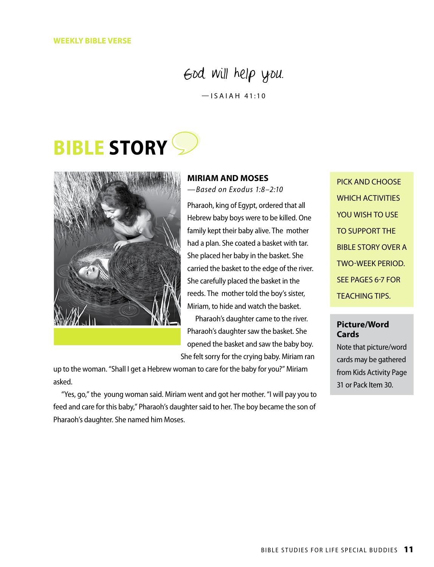### God will help you.

 $-$ ISAIAH 41:10

## **BIBLE STORY**



#### **MIRIAM AND MOSES**

*—Based on Exodus 1:8–2:10*

Pharaoh, king of Egypt, ordered that all Hebrew baby boys were to be killed. One family kept their baby alive. The mother had a plan. She coated a basket with tar. She placed her baby in the basket. She carried the basket to the edge of the river. She carefully placed the basket in the reeds. The mother told the boy's sister, Miriam, to hide and watch the basket. Pharaoh's daughter came to the river. Pharaoh's daughter saw the basket. She

opened the basket and saw the baby boy. She felt sorry for the crying baby. Miriam ran

up to the woman. "Shall I get a Hebrew woman to care for the baby for you?" Miriam asked.

"Yes, go," the young woman said. Miriam went and got her mother. "I will pay you to feed and care for this baby," Pharaoh's daughter said to her. The boy became the son of Pharaoh's daughter. She named him Moses.

PICK AND CHOOSE WHICH ACTIVITIES YOU WISH TO USE TO SUPPORT THE BIBLE STORY OVER A TWO-WEEK PERIOD. SEE PAGES 6-7 FOR TEACHING TIPS.

#### **Picture/Word Cards**

Note that picture/word cards may be gathered from Kids Activity Page 31 or Pack Item 30.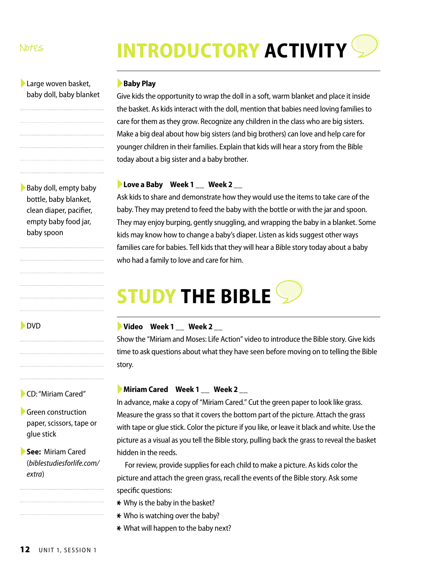#### Notes

# **INTRODUCTORY ACTIVITY**

#### ►Large woven basket, baby doll, baby blanket

▶Baby doll, empty baby bottle, baby blanket, clean diaper, pacifier, empty baby food jar,

baby spoon

►DVD

►**Baby Play**

Give kids the opportunity to wrap the doll in a soft, warm blanket and place it inside the basket. As kids interact with the doll, mention that babies need loving families to care for them as they grow. Recognize any children in the class who are big sisters. Make a big deal about how big sisters (and big brothers) can love and help care for younger children in their families. Explain that kids will hear a story from the Bible today about a big sister and a baby brother.

#### ►**Love a Baby Week 1 \_\_ Week 2 \_\_**

Ask kids to share and demonstrate how they would use the items to take care of the baby. They may pretend to feed the baby with the bottle or with the jar and spoon. They may enjoy burping, gently snuggling, and wrapping the baby in a blanket. Some kids may know how to change a baby's diaper. Listen as kids suggest other ways families care for babies. Tell kids that they will hear a Bible story today about a baby who had a family to love and care for him.

## **STUDY THE BIBLE**

#### ►**Video Week 1 \_\_ Week 2 \_\_**

Show the "Miriam and Moses: Life Action" video to introduce the Bible story. Give kids time to ask questions about what they have seen before moving on to telling the Bible story.

#### ►**Miriam Cared Week 1 \_\_ Week 2 \_\_**

In advance, make a copy of "Miriam Cared." Cut the green paper to look like grass. Measure the grass so that it covers the bottom part of the picture. Attach the grass with tape or glue stick. Color the picture if you like, or leave it black and white. Use the picture as a visual as you tell the Bible story, pulling back the grass to reveal the basket hidden in the reeds.

For review, provide supplies for each child to make a picture. As kids color the picture and attach the green grass, recall the events of the Bible story. Ask some specific questions:

- \* Why is the baby in the basket?
- $*$  Who is watching over the baby?
- \* What will happen to the baby next?

### ►CD: "Miriam Cared"

▶Green construction paper, scissors, tape or glue stick

►**See:** Miriam Cared (*biblestudiesforlife.com/ extra*)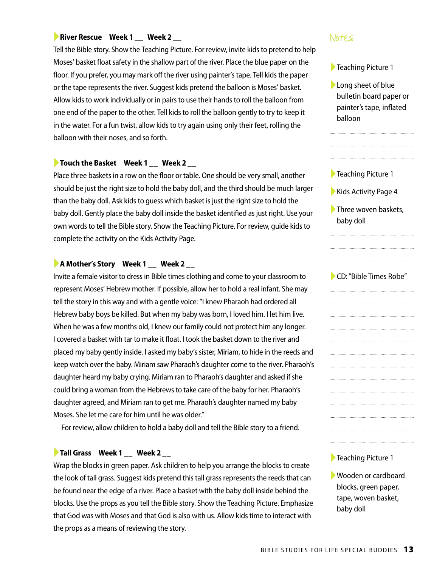#### ▶ River Rescue Week 1 \_\_ Week 2 \_\_ Notes **Notes Allen Rescue Week 2 \_\_** Notes Allen Rescue Allen Rescue Allen Rescue Allen Rescue Allen Rescue Allen Rescue Allen Rescue Allen Rescue Allen Rescue Allen Rescue Allen Rescue

Tell the Bible story. Show the Teaching Picture. For review, invite kids to pretend to help Moses' basket float safety in the shallow part of the river. Place the blue paper on the floor. If you prefer, you may mark off the river using painter's tape. Tell kids the paper or the tape represents the river. Suggest kids pretend the balloon is Moses' basket. Allow kids to work individually or in pairs to use their hands to roll the balloon from one end of the paper to the other. Tell kids to roll the balloon gently to try to keep it in the water. For a fun twist, allow kids to try again using only their feet, rolling the balloon with their noses, and so forth.

#### ►**Touch the Basket Week 1 \_\_ Week 2 \_\_**

Place three baskets in a row on the floor or table. One should be very small, another should be just the right size to hold the baby doll, and the third should be much larger than the baby doll. Ask kids to guess which basket is just the right size to hold the baby doll. Gently place the baby doll inside the basket identified as just right. Use your own words to tell the Bible story. Show the Teaching Picture. For review, guide kids to complete the activity on the Kids Activity Page.

#### ►**A Mother's Story Week 1 \_\_ Week 2 \_\_**

Invite a female visitor to dress in Bible times clothing and come to your classroom to represent Moses' Hebrew mother. If possible, allow her to hold a real infant. She may tell the story in this way and with a gentle voice: "I knew Pharaoh had ordered all Hebrew baby boys be killed. But when my baby was born, I loved him. I let him live. When he was a few months old, I knew our family could not protect him any longer. I covered a basket with tar to make it float. I took the basket down to the river and placed my baby gently inside. I asked my baby's sister, Miriam, to hide in the reeds and keep watch over the baby. Miriam saw Pharaoh's daughter come to the river. Pharaoh's daughter heard my baby crying. Miriam ran to Pharaoh's daughter and asked if she could bring a woman from the Hebrews to take care of the baby for her. Pharaoh's daughter agreed, and Miriam ran to get me. Pharaoh's daughter named my baby Moses. She let me care for him until he was older."

For review, allow children to hold a baby doll and tell the Bible story to a friend.

#### ►**Tall Grass Week 1 \_\_ Week 2 \_\_**

Wrap the blocks in green paper. Ask children to help you arrange the blocks to create the look of tall grass. Suggest kids pretend this tall grass represents the reeds that can be found near the edge of a river. Place a basket with the baby doll inside behind the blocks. Use the props as you tell the Bible story. Show the Teaching Picture. Emphasize that God was with Moses and that God is also with us. Allow kids time to interact with the props as a means of reviewing the story.

- ►Teaching Picture 1
- ►Long sheet of blue bulletin board paper or painter's tape, inflated balloon
- ►Teaching Picture 1
- ►Kids Activity Page 4
- ▶ Three woven baskets, baby doll

►CD: "Bible Times Robe"

▶Teaching Picture 1

►Wooden or cardboard blocks, green paper, tape, woven basket, baby doll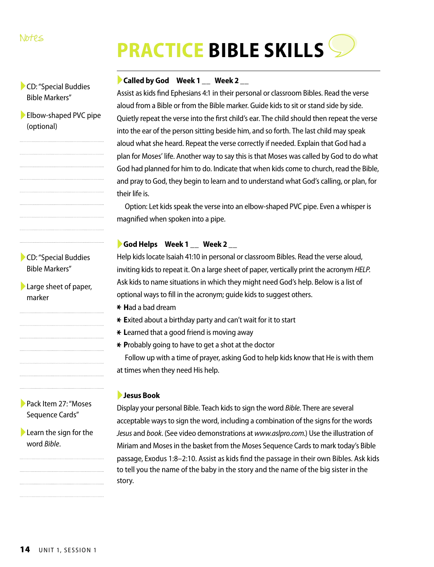# **PRACTICE BIBLE SKILLS**

#### ►**Called by God Week 1 \_\_ Week 2 \_\_**

Assist as kids find Ephesians 4:1 in their personal or classroom Bibles. Read the verse aloud from a Bible or from the Bible marker. Guide kids to sit or stand side by side. Quietly repeat the verse into the first child's ear. The child should then repeat the verse into the ear of the person sitting beside him, and so forth. The last child may speak aloud what she heard. Repeat the verse correctly if needed. Explain that God had a plan for Moses' life. Another way to say this is that Moses was called by God to do what God had planned for him to do. Indicate that when kids come to church, read the Bible, and pray to God, they begin to learn and to understand what God's calling, or plan, for their life is.

Option: Let kids speak the verse into an elbow-shaped PVC pipe. Even a whisper is magnified when spoken into a pipe.

#### ►**God Helps Week 1 \_\_ Week 2 \_\_**

Help kids locate Isaiah 41:10 in personal or classroom Bibles. Read the verse aloud, inviting kids to repeat it. On a large sheet of paper, vertically print the acronym *HELP*. Ask kids to name situations in which they might need God's help. Below is a list of optional ways to fill in the acronym; guide kids to suggest others.

- \* **H**ad a bad dream
- \* **E**xited about a birthday party and can't wait for it to start
- \* Learned that a good friend is moving away
- \* **P**robably going to have to get a shot at the doctor

Follow up with a time of prayer, asking God to help kids know that He is with them at times when they need His help.

#### ►**Jesus Book**

Display your personal Bible. Teach kids to sign the word *Bible*. There are several acceptable ways to sign the word, including a combination of the signs for the words *Jesus* and *book*. (See video demonstrations at *www.aslpro.com.*) Use the illustration of Miriam and Moses in the basket from the Moses Sequence Cards to mark today's Bible passage, Exodus 1:8–2:10. Assist as kids find the passage in their own Bibles. Ask kids to tell you the name of the baby in the story and the name of the big sister in the story.

### ►CD: "Special Buddies Bible Markers"

▶ Elbow-shaped PVC pipe (optional)

►CD: "Special Buddies Bible Markers"

►Large sheet of paper, marker

►Pack Item 27: "Moses Sequence Cards"

 $\blacktriangleright$  Learn the sign for the word *Bible*.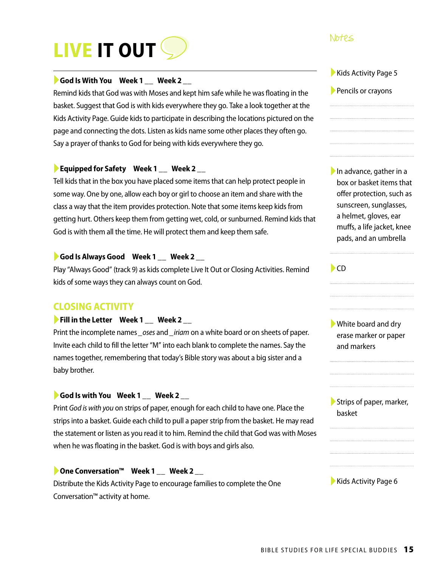# **LIVE IT OUT**

#### ►**God Is With You Week 1 \_\_ Week 2 \_\_**

Remind kids that God was with Moses and kept him safe while he was floating in the basket. Suggest that God is with kids everywhere they go. Take a look together at the Kids Activity Page. Guide kids to participate in describing the locations pictured on the page and connecting the dots. Listen as kids name some other places they often go. Say a prayer of thanks to God for being with kids everywhere they go.

#### ►**Equipped for Safety Week 1 \_\_ Week 2 \_\_**

Tell kids that in the box you have placed some items that can help protect people in some way. One by one, allow each boy or girl to choose an item and share with the class a way that the item provides protection. Note that some items keep kids from getting hurt. Others keep them from getting wet, cold, or sunburned. Remind kids that God is with them all the time. He will protect them and keep them safe.

#### ►**God Is Always Good Week 1 \_\_ Week 2 \_\_**

Play "Always Good" (track 9) as kids complete Live It Out or Closing Activities. Remind kids of some ways they can always count on God.

#### **CLOSING ACTIVITY**

#### ►**Fill in the Letter Week 1 \_\_ Week 2 \_\_**

Print the incomplete names *\_oses* and *\_iriam* on a white board or on sheets of paper. Invite each child to fill the letter "M" into each blank to complete the names. Say the names together, remembering that today's Bible story was about a big sister and a baby brother.

#### ►**God Is with You Week 1 \_\_ Week 2 \_\_**

Print *God is with you* on strips of paper, enough for each child to have one. Place the strips into a basket. Guide each child to pull a paper strip from the basket. He may read the statement or listen as you read it to him. Remind the child that God was with Moses when he was floating in the basket. God is with boys and girls also.

#### ►**One Conversation™ Week 1 \_\_ Week 2 \_\_**

Distribute the Kids Activity Page to encourage families to complete the One Conversation™ activity at home.

#### Notes

- ▶ Kids Activity Page 5
- ►Pencils or crayons

►In advance, gather in a box or basket items that offer protection, such as sunscreen, sunglasses, a helmet, gloves, ear muffs, a life jacket, knee pads, and an umbrella

#### $\blacktriangleright$ CD

►White board and dry erase marker or paper and markers

▶ Strips of paper, marker, basket

#### ► Kids Activity Page 6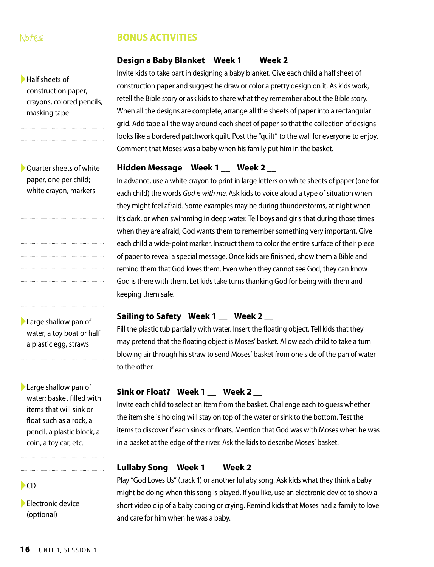#### Notes

►Half sheets of

masking tape

construction paper, crayons, colored pencils,

#### **BONUS ACTIVITIES**

#### **Design a Baby Blanket Week 1 \_\_ Week 2 \_\_**

Invite kids to take part in designing a baby blanket. Give each child a half sheet of construction paper and suggest he draw or color a pretty design on it. As kids work, retell the Bible story or ask kids to share what they remember about the Bible story. When all the designs are complete, arrange all the sheets of paper into a rectangular grid. Add tape all the way around each sheet of paper so that the collection of designs looks like a bordered patchwork quilt. Post the "quilt" to the wall for everyone to enjoy. Comment that Moses was a baby when his family put him in the basket.

#### Hidden Message Week 1 \_\_ Week 2

In advance, use a white crayon to print in large letters on white sheets of paper (one for each child) the words *God is with me*. Ask kids to voice aloud a type of situation when they might feel afraid. Some examples may be during thunderstorms, at night when it's dark, or when swimming in deep water. Tell boys and girls that during those times when they are afraid, God wants them to remember something very important. Give each child a wide-point marker. Instruct them to color the entire surface of their piece of paper to reveal a special message. Once kids are finished, show them a Bible and remind them that God loves them. Even when they cannot see God, they can know God is there with them. Let kids take turns thanking God for being with them and keeping them safe.

#### **Sailing to Safety Week 1 \_\_ Week 2 \_\_**

Fill the plastic tub partially with water. Insert the floating object. Tell kids that they may pretend that the floating object is Moses' basket. Allow each child to take a turn blowing air through his straw to send Moses' basket from one side of the pan of water to the other.

#### **Sink or Float? Week 1 \_\_ Week 2 \_\_**

Invite each child to select an item from the basket. Challenge each to guess whether the item she is holding will stay on top of the water or sink to the bottom. Test the items to discover if each sinks or floats. Mention that God was with Moses when he was in a basket at the edge of the river. Ask the kids to describe Moses' basket.

#### **Lullaby Song Week 1 \_\_ Week 2 \_\_**

Play "God Loves Us" (track 1) or another lullaby song. Ask kids what they think a baby might be doing when this song is played. If you like, use an electronic device to show a short video clip of a baby cooing or crying. Remind kids that Moses had a family to love and care for him when he was a baby.

▶ Quarter sheets of white paper, one per child;

white crayon, markers

▶Large shallow pan of water, a toy boat or half a plastic egg, straws

►Large shallow pan of water; basket filled with items that will sink or float such as a rock, a pencil, a plastic block, a coin, a toy car, etc.

#### $\blacktriangleright$ CD

▶ Electronic device (optional)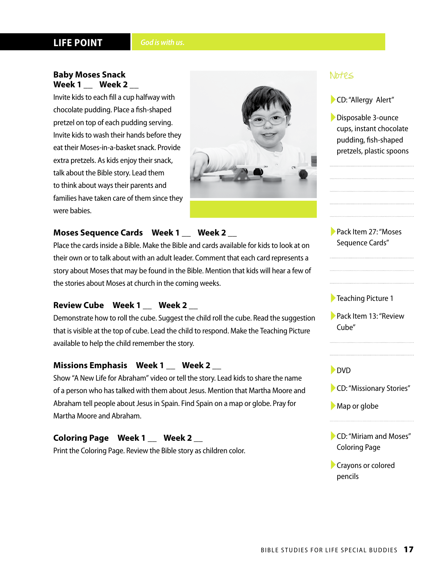#### **LIFE POINT** *God is with us.*

#### **Baby Moses Snack Week 1 \_\_ Week 2 \_\_**

Invite kids to each fill a cup halfway with chocolate pudding. Place a fish-shaped pretzel on top of each pudding serving. Invite kids to wash their hands before they eat their Moses-in-a-basket snack. Provide extra pretzels. As kids enjoy their snack, talk about the Bible story. Lead them to think about ways their parents and families have taken care of them since they were babies.



#### **Moses Sequence Cards Week 1 \_\_ Week 2 \_\_**

Place the cards inside a Bible. Make the Bible and cards available for kids to look at on their own or to talk about with an adult leader. Comment that each card represents a story about Moses that may be found in the Bible. Mention that kids will hear a few of the stories about Moses at church in the coming weeks.

#### **Review Cube Week 1 \_\_ Week 2 \_\_**

Demonstrate how to roll the cube. Suggest the child roll the cube. Read the suggestion that is visible at the top of cube. Lead the child to respond. Make the Teaching Picture available to help the child remember the story.

#### **Missions Emphasis Week 1 \_\_ Week 2 \_\_**

Show "A New Life for Abraham" video or tell the story. Lead kids to share the name of a person who has talked with them about Jesus. Mention that Martha Moore and Abraham tell people about Jesus in Spain. Find Spain on a map or globe. Pray for Martha Moore and Abraham.

#### **Coloring Page Week 1 \_\_ Week 2 \_\_**

Print the Coloring Page. Review the Bible story as children color.

#### Notes

►CD: "Allergy Alert"

►Disposable 3-ounce cups, instant chocolate pudding, fish-shaped pretzels, plastic spoons

►Pack Item 27: "Moses Sequence Cards"

#### ►Teaching Picture 1

►Pack Item 13: "Review Cube"

#### ►DVD

- ►CD: "Missionary Stories"
- ▶ Map or globe
- ►CD: "Miriam and Moses" Coloring Page
- ►Crayons or colored pencils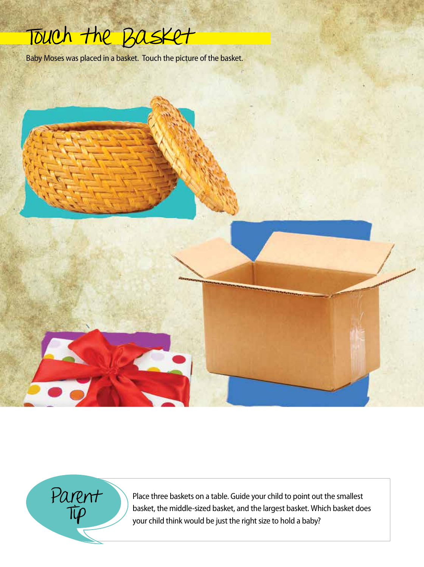

Baby Moses was placed in a basket. Touch the picture of the basket.

Parent  $T$ 

Place three baskets on a table. Guide your child to point out the smallest basket, the middle-sized basket, and the largest basket. Which basket does your child think would be just the right size to hold a baby?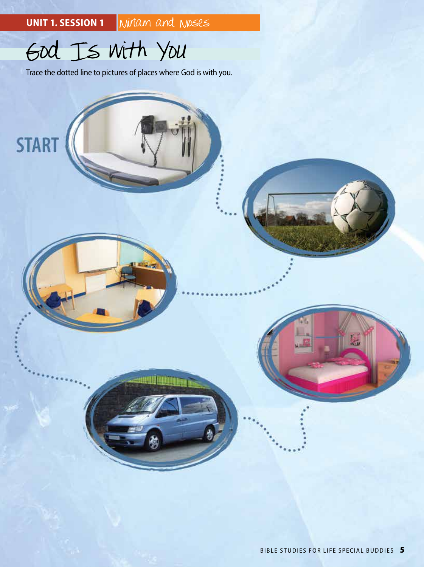